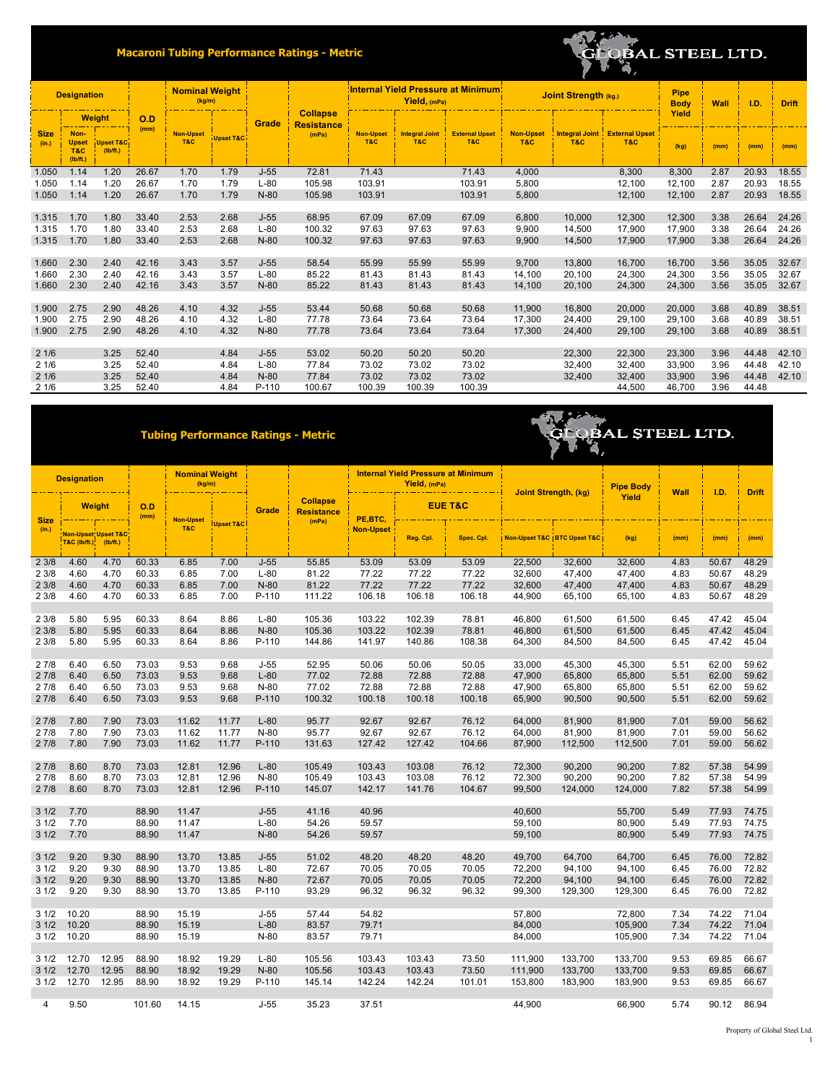## **Macaroni Tubing Performance Ratings - Metric**



**OLOBAL STEEL LTD.** 

'A,

| <b>Designation</b>   |                                                    | <b>Nominal Weight</b><br>(kg/m)  |       |                                 |                      |        | Yield, (mPa)                         | <b>Internal Yield Pressure at Minimum:</b> | Joint Strength (kg.)         | Pipe<br><b>Body</b>          | Wall                    | I.D.           | <b>Drift</b>                                |        |      |       |       |
|----------------------|----------------------------------------------------|----------------------------------|-------|---------------------------------|----------------------|--------|--------------------------------------|--------------------------------------------|------------------------------|------------------------------|-------------------------|----------------|---------------------------------------------|--------|------|-------|-------|
|                      | <b>Weight</b>                                      |                                  | O.D   |                                 |                      | Grade  | <b>Collapse</b><br><b>Resistance</b> |                                            |                              |                              |                         |                |                                             | Yield  |      |       |       |
| <b>Size</b><br>(in.) | Non-<br><b>Upset</b><br><b>T&amp;C</b><br>(lb/ft.) | <b>Upset T&amp;C</b><br>(lb/ft.) |       | (mm)<br><b>Non-Upset</b><br>T&C | <b>Upset T&amp;C</b> |        | (mPa)                                | <b>Non-Upset</b><br>T&C                    | <b>Integral Joint</b><br>T&C | <b>External Upset</b><br>T&C | <b>Non-Upset</b><br>T&C | <b>T&amp;C</b> | <b>Integral Joint External Upset</b><br>T&C | (kg)   | (mm) | (mm)  | (mm)  |
| 1.050                | 1.14                                               | 1.20                             | 26.67 | 1.70                            | 1.79                 | $J-55$ | 72.81                                | 71.43                                      |                              | 71.43                        | 4,000                   |                | 8,300                                       | 8,300  | 2.87 | 20.93 | 18.55 |
| 1.050                | 1.14                                               | 1.20                             | 26.67 | 1.70                            | 1.79                 | $L-80$ | 105.98                               | 103.91                                     |                              | 103.91                       | 5,800                   |                | 12,100                                      | 12,100 | 2.87 | 20.93 | 18.55 |
| 1.050                | 1.14                                               | 1.20                             | 26.67 | 1.70                            | 1.79                 | $N-80$ | 105.98                               | 103.91                                     |                              | 103.91                       | 5,800                   |                | 12,100                                      | 12,100 | 2.87 | 20.93 | 18.55 |
|                      |                                                    |                                  |       |                                 |                      |        |                                      |                                            |                              |                              |                         |                |                                             |        |      |       |       |
| 1.315                | 1.70                                               | 1.80                             | 33.40 | 2.53                            | 2.68                 | $J-55$ | 68.95                                | 67.09                                      | 67.09                        | 67.09                        | 6,800                   | 10,000         | 12,300                                      | 12,300 | 3.38 | 26.64 | 24.26 |
| 1.315                | 1.70                                               | 1.80                             | 33.40 | 2.53                            | 2.68                 | $L-80$ | 100.32                               | 97.63                                      | 97.63                        | 97.63                        | 9.900                   | 14.500         | 17.900                                      | 17,900 | 3.38 | 26.64 | 24.26 |
| 1.315                | 1.70                                               | 1.80                             | 33.40 | 2.53                            | 2.68                 | $N-80$ | 100.32                               | 97.63                                      | 97.63                        | 97.63                        | 9,900                   | 14,500         | 17,900                                      | 17,900 | 3.38 | 26.64 | 24.26 |
|                      |                                                    |                                  |       |                                 |                      |        |                                      |                                            |                              |                              |                         |                |                                             |        |      |       |       |
| 1.660                | 2.30                                               | 2.40                             | 42.16 | 3.43                            | 3.57                 | $J-55$ | 58.54                                | 55.99                                      | 55.99                        | 55.99                        | 9,700                   | 13,800         | 16,700                                      | 16,700 | 3.56 | 35.05 | 32.67 |
| 1.660                | 2.30                                               | 2.40                             | 42.16 | 3.43                            | 3.57                 | $L-80$ | 85.22                                | 81.43                                      | 81.43                        | 81.43                        | 14,100                  | 20.100         | 24.300                                      | 24.300 | 3.56 | 35.05 | 32.67 |
| 1.660                | 2.30                                               | 2.40                             | 42.16 | 3.43                            | 3.57                 | $N-80$ | 85.22                                | 81.43                                      | 81.43                        | 81.43                        | 14,100                  | 20,100         | 24,300                                      | 24,300 | 3.56 | 35.05 | 32.67 |
|                      |                                                    |                                  |       |                                 |                      |        |                                      |                                            |                              |                              |                         |                |                                             |        |      |       |       |
| 1.900                | 2.75                                               | 2.90                             | 48.26 | 4.10                            | 4.32                 | $J-55$ | 53.44                                | 50.68                                      | 50.68                        | 50.68                        | 11,900                  | 16,800         | 20,000                                      | 20,000 | 3.68 | 40.89 | 38.51 |
| 1.900                | 2.75                                               | 2.90                             | 48.26 | 4.10                            | 4.32                 | $L-80$ | 77.78                                | 73.64                                      | 73.64                        | 73.64                        | 17.300                  | 24,400         | 29.100                                      | 29,100 | 3.68 | 40.89 | 38.51 |
| 1.900                | 2.75                                               | 2.90                             | 48.26 | 4.10                            | 4.32                 | $N-80$ | 77.78                                | 73.64                                      | 73.64                        | 73.64                        | 17.300                  | 24,400         | 29,100                                      | 29,100 | 3.68 | 40.89 | 38.51 |
|                      |                                                    |                                  |       |                                 |                      |        |                                      |                                            |                              |                              |                         |                |                                             |        |      |       |       |
| 21/6                 |                                                    | 3.25                             | 52.40 |                                 | 4.84                 | $J-55$ | 53.02                                | 50.20                                      | 50.20                        | 50.20                        |                         | 22,300         | 22,300                                      | 23,300 | 3.96 | 44.48 | 42.10 |
| 21/6                 |                                                    | 3.25                             | 52.40 |                                 | 4.84                 | $L-80$ | 77.84                                | 73.02                                      | 73.02                        | 73.02                        |                         | 32,400         | 32,400                                      | 33,900 | 3.96 | 44.48 | 42.10 |
| 21/6                 |                                                    | 3.25                             | 52.40 |                                 | 4.84                 | $N-80$ | 77.84                                | 73.02                                      | 73.02                        | 73.02                        |                         | 32,400         | 32,400                                      | 33,900 | 3.96 | 44.48 | 42.10 |
| 21/6                 |                                                    | 3.25                             | 52.40 |                                 | 4.84                 | P-110  | 100.67                               | 100.39                                     | 100.39                       | 100.39                       |                         |                | 44,500                                      | 46,700 | 3.96 | 44.48 |       |
|                      |                                                    |                                  |       |                                 |                      |        |                                      |                                            |                              |                              |                         |                |                                             |        |      |       |       |

## **Tubing Performance Ratings - Metric**

|                      | <b>Designation</b>                                        |              |                      | <b>Nominal Weight</b><br>(kg/m) |                         |                  |                |                  | Yield, (mPa)                         | <b>Internal Yield Pressure at Minimum</b> | <b>Joint Strength, (kg)</b> |                               | <b>Pipe Body</b> | <b>Wall</b>  | I.D.           | <b>Drift</b>   |  |  |
|----------------------|-----------------------------------------------------------|--------------|----------------------|---------------------------------|-------------------------|------------------|----------------|------------------|--------------------------------------|-------------------------------------------|-----------------------------|-------------------------------|------------------|--------------|----------------|----------------|--|--|
|                      | <b>Weight</b>                                             |              | O.D                  | (mm)                            | <b>Non-Upset</b><br>T&C |                  |                | Grade            | <b>Collapse</b><br><b>Resistance</b> | PE,BTC,                                   | <b>EUE T&amp;C</b>          |                               |                  |              | Yield          |                |  |  |
| <b>Size</b><br>(in.) | <b>Non-Upset Upset T&amp;C</b><br><b>T&amp;C (lb/ft.)</b> | (lb/ft.)     | <b>Upset T&amp;C</b> |                                 |                         |                  | (mPa)          | <b>Non-Upset</b> | Reg. Cpl.                            | Spec. Cpl.                                |                             | Non-Upset T&C   BTC Upset T&C | (kg)             | (mm)         | (mm)           | (mm)           |  |  |
| 23/8                 | 4.60                                                      | 4.70         | 60.33                | 6.85                            | 7.00                    | $J-55$           | 55.85          | 53.09            | 53.09                                | 53.09                                     | 22,500                      | 32,600                        | 32,600           | 4.83         | 50.67          | 48.29          |  |  |
| 23/8                 | 4.60                                                      | 4.70         | 60.33                | 6.85                            | 7.00                    | $L-80$           | 81.22          | 77.22            | 77.22                                | 77.22                                     | 32.600                      | 47.400                        | 47,400           | 4.83         | 50.67          | 48.29          |  |  |
| 23/8                 | 4.60                                                      | 4.70         | 60.33                | 6.85                            | 7.00                    | $N-80$           | 81.22          | 77.22            | 77.22                                | 77.22                                     | 32,600                      | 47,400                        | 47,400           | 4.83         | 50.67          | 48.29          |  |  |
| 23/8                 | 4.60                                                      | 4.70         | 60.33                | 6.85                            | 7.00                    | P-110            | 111.22         | 106.18           | 106.18                               | 106.18                                    | 44,900                      | 65,100                        | 65,100           | 4.83         | 50.67          | 48.29          |  |  |
|                      |                                                           |              |                      |                                 |                         |                  |                |                  |                                      |                                           |                             |                               |                  |              |                |                |  |  |
| 23/8                 | 5.80                                                      | 5.95         | 60.33                | 8.64                            | 8.86                    | $L-80$           | 105.36         | 103.22           | 102.39                               | 78.81                                     | 46,800                      | 61,500                        | 61,500           | 6.45         | 47.42          | 45.04          |  |  |
| 23/8                 | 5.80                                                      | 5.95         | 60.33                | 8.64                            | 8.86                    | $N-80$           | 105.36         | 103.22           | 102.39                               | 78.81                                     | 46,800                      | 61,500                        | 61,500           | 6.45         | 47.42          | 45.04          |  |  |
| 23/8                 | 5.80                                                      | 5.95         | 60.33                | 8.64                            | 8.86                    | P-110            | 144.86         | 141.97           | 140.86                               | 108.38                                    | 64,300                      | 84,500                        | 84,500           | 6.45         | 47.42          | 45.04          |  |  |
|                      |                                                           |              |                      |                                 |                         |                  |                |                  |                                      |                                           |                             |                               |                  |              |                |                |  |  |
| 27/8                 | 6.40                                                      | 6.50         | 73.03                | 9.53                            | 9.68                    | $J-55$           | 52.95          | 50.06            | 50.06                                | 50.05                                     | 33,000                      | 45,300                        | 45,300           | 5.51         | 62.00          | 59.62          |  |  |
| 27/8<br>27/8         | 6.40<br>6.40                                              | 6.50<br>6.50 | 73.03<br>73.03       | 9.53<br>9.53                    | 9.68<br>9.68            | $L-80$<br>$N-80$ | 77.02<br>77.02 | 72.88<br>72.88   | 72.88<br>72.88                       | 72.88<br>72.88                            | 47,900<br>47,900            | 65,800<br>65,800              | 65,800<br>65,800 | 5.51<br>5.51 | 62.00<br>62.00 | 59.62<br>59.62 |  |  |
| 27/8                 | 6.40                                                      | 6.50         | 73.03                | 9.53                            | 9.68                    | P-110            | 100.32         | 100.18           | 100.18                               | 100.18                                    | 65,900                      | 90,500                        | 90,500           | 5.51         | 62.00          | 59.62          |  |  |
|                      |                                                           |              |                      |                                 |                         |                  |                |                  |                                      |                                           |                             |                               |                  |              |                |                |  |  |
| 27/8                 | 7.80                                                      | 7.90         | 73.03                | 11.62                           | 11.77                   | $L-80$           | 95.77          | 92.67            | 92.67                                | 76.12                                     | 64.000                      | 81,900                        | 81,900           | 7.01         | 59.00          | 56.62          |  |  |
| 27/8                 | 7.80                                                      | 7.90         | 73.03                | 11.62                           | 11.77                   | $N-80$           | 95.77          | 92.67            | 92.67                                | 76.12                                     | 64,000                      | 81,900                        | 81,900           | 7.01         | 59.00          | 56.62          |  |  |
| 27/8                 | 7.80                                                      | 7.90         | 73.03                | 11.62                           | 11.77                   | $P-110$          | 131.63         | 127.42           | 127.42                               | 104.66                                    | 87,900                      | 112,500                       | 112,500          | 7.01         | 59.00          | 56.62          |  |  |
|                      |                                                           |              |                      |                                 |                         |                  |                |                  |                                      |                                           |                             |                               |                  |              |                |                |  |  |
| 27/8                 | 8.60                                                      | 8.70         | 73.03                | 12.81                           | 12.96                   | $L-80$           | 105.49         | 103.43           | 103.08                               | 76.12                                     | 72,300                      | 90,200                        | 90,200           | 7.82         | 57.38          | 54.99          |  |  |
| 27/8                 | 8.60                                                      | 8.70         | 73.03                | 12.81                           | 12.96                   | N-80             | 105.49         | 103.43           | 103.08                               | 76.12                                     | 72,300                      | 90,200                        | 90,200           | 7.82         | 57.38          | 54.99          |  |  |
| 27/8                 | 8.60                                                      | 8.70         | 73.03                | 12.81                           | 12.96                   | P-110            | 145.07         | 142.17           | 141.76                               | 104.67                                    | 99,500                      | 124,000                       | 124,000          | 7.82         | 57.38          | 54.99          |  |  |
|                      |                                                           |              |                      |                                 |                         |                  |                |                  |                                      |                                           |                             |                               |                  |              |                |                |  |  |
| 31/2                 | 7.70                                                      |              | 88.90                | 11.47                           |                         | $J-55$           | 41.16          | 40.96            |                                      |                                           | 40,600                      |                               | 55.700           | 5.49         | 77.93          | 74.75          |  |  |
| 31/2                 | 7.70                                                      |              | 88.90                | 11.47                           |                         | $L-80$           | 54.26          | 59.57            |                                      |                                           | 59,100                      |                               | 80,900           | 5.49         | 77.93          | 74.75          |  |  |
| 31/2                 | 7.70                                                      |              | 88.90                | 11.47                           |                         | $N-80$           | 54.26          | 59.57            |                                      |                                           | 59,100                      |                               | 80,900           | 5.49         | 77.93          | 74.75          |  |  |
|                      |                                                           |              |                      |                                 |                         |                  |                |                  |                                      |                                           |                             |                               |                  |              |                |                |  |  |
| 31/2                 | 9.20                                                      | 9.30         | 88.90                | 13.70                           | 13.85                   | $J-55$           | 51.02          | 48.20            | 48.20                                | 48.20                                     | 49,700                      | 64,700                        | 64,700           | 6.45         | 76.00          | 72.82          |  |  |
| 31/2                 | 9.20                                                      | 9.30         | 88.90                | 13.70                           | 13.85                   | $L-80$           | 72.67          | 70.05            | 70.05                                | 70.05                                     | 72,200                      | 94,100                        | 94,100           | 6.45         | 76.00          | 72.82          |  |  |
| 31/2                 | 9.20                                                      | 9.30         | 88.90                | 13.70                           | 13.85                   | $N-80$           | 72.67          | 70.05            | 70.05                                | 70.05                                     | 72,200                      | 94,100                        | 94,100           | 6.45         | 76.00          | 72.82          |  |  |
| 31/2                 | 9.20                                                      | 9.30         | 88.90                | 13.70                           | 13.85                   | P-110            | 93.29          | 96.32            | 96.32                                | 96.32                                     | 99,300                      | 129,300                       | 129,300          | 6.45         | 76.00          | 72.82          |  |  |
| 31/2                 | 10.20                                                     |              | 88.90                | 15.19                           |                         | $J-55$           | 57.44          | 54.82            |                                      |                                           | 57,800                      |                               | 72,800           | 7.34         | 74.22          | 71.04          |  |  |
| 31/2                 | 10.20                                                     |              | 88.90                | 15.19                           |                         | $L-80$           | 83.57          | 79.71            |                                      |                                           | 84,000                      |                               | 105,900          | 7.34         | 74.22          | 71.04          |  |  |
| 31/2                 | 10.20                                                     |              | 88.90                | 15.19                           |                         | N-80             | 83.57          | 79.71            |                                      |                                           | 84,000                      |                               | 105,900          | 7.34         | 74.22          | 71.04          |  |  |
|                      |                                                           |              |                      |                                 |                         |                  |                |                  |                                      |                                           |                             |                               |                  |              |                |                |  |  |
| 31/2                 | 12.70                                                     | 12.95        | 88.90                | 18.92                           | 19.29                   | $L-80$           | 105.56         | 103.43           | 103.43                               | 73.50                                     | 111,900                     | 133,700                       | 133,700          | 9.53         | 69.85          | 66.67          |  |  |
| 31/2                 | 12.70                                                     | 12.95        | 88.90                | 18.92                           | 19.29                   | $N-80$           | 105.56         | 103.43           | 103.43                               | 73.50                                     | 111,900                     | 133,700                       | 133,700          | 9.53         | 69.85          | 66.67          |  |  |
| 31/2                 | 12.70                                                     | 12.95        | 88.90                | 18.92                           | 19.29                   | P-110            | 145.14         | 142.24           | 142.24                               | 101.01                                    | 153,800                     | 183,900                       | 183,900          | 9.53         | 69.85          | 66.67          |  |  |
|                      |                                                           |              |                      |                                 |                         |                  |                |                  |                                      |                                           |                             |                               |                  |              |                |                |  |  |
| 4                    | 9.50                                                      |              | 101.60               | 14.15                           |                         | $J-55$           | 35.23          | 37.51            |                                      |                                           | 44,900                      |                               | 66,900           | 5.74         | 90.12          | 86.94          |  |  |